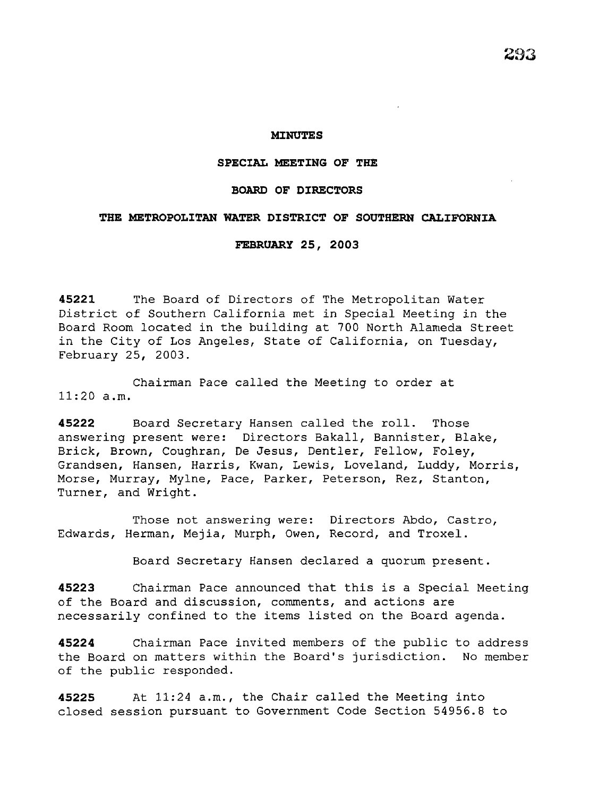#### **MINUTES**

### **SPECIAL MEETING OF THE**

## **BOARD OF DIRECTORS**

# **THE METROPOLITAN WATER DISTRICT OF SOUTHERN CALIFORNIA**

# **FEBRUARY 25, 2003**

**45221** The Board of Directors of The Metropolitan Water District of Southern California met in Special Meeting in the Board Room located in the building at 700 North Alameda Street in the City of Los Angeles, State of California, on Tuesday, February 25, 2003.

Chairman Pace called the Meeting to order at 11:20 a.m.

**45222** Board Secretary Hansen called the roll. Those answering present were: Directors Bakall, Bannister, Blake, Brick, Brown, Coughran, De Jesus, Dentler, Fellow, Foley, Grandsen, Hansen, Harris, Kwan, Lewis, Loveland, Luddy, Morris, Morse, Murray, Mylne, Pace, Parker, Peterson, Rez, Stanton, Turner, and Wright.

Those not answering were: Directors Abdo, Castro, Edwards, Herman, Mejia, Murph, Owen, Record, and Troxel.

Board Secretary Hansen declared a quorum present.

**45223** Chairman Pace announced that this is a Special Meeting of the Board and discussion, comments, and actions are necessarily confined to the items listed on the Board agenda.

**45224** Chairman Pace invited members of the public to address the Board on matters within the Board's jurisdiction. No member of the public responded.

**45225** At 11:24 a.m., the Chair called the Meeting into closed session pursuant to Government Code Section 54956.8 to